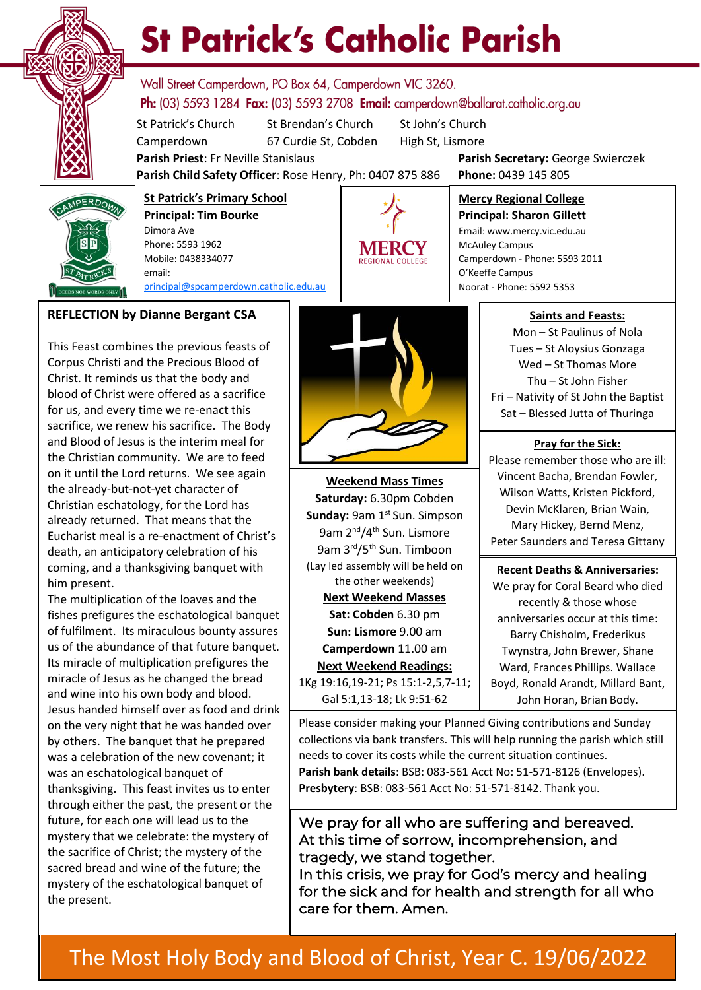

# **St Patrick's Catholic Parish**

Wall Street Camperdown, PO Box 64, Camperdown VIC 3260. **Ph:** (03) 5593 1284 **Fax:** (03) 5593 2708 **Email:** camperdown@ballarat.catholic.org.au

St Patrick's Church St Brendan's Church St John's Church Camperdown 67 Curdie St, Cobden High St, Lismore

**Parish Priest**: Fr Neville Stanislaus **Parish Secretary:** George Swierczek

McAuley Campus

O'Keeffe Campus

**Mercy Regional College Principal: Sharon Gillett** Email: www.mercy.vic.edu.au

Camperdown - Phone: 5593 2011

**Parish Child Safety Officer**: Rose Henry, Ph: 0407 875 886 **Phone:** 0439 145 805



**St Patrick's Primary School Principal: Tim Bourke**  Dimora Ave Phone: 5593 1962 Mobile: 0438334077 email: [principal@spcamperdown.catholic.edu.au](mailto:principal@spcamperdown.catholic.edu.auu)



This Feast combines the previous feasts of Corpus Christi and the Precious Blood of Christ. It reminds us that the body and blood of Christ were offered as a sacrifice for us, and every time we re-enact this sacrifice, we renew his sacrifice. The Body and Blood of Jesus is the interim meal for the Christian community. We are to feed on it until the Lord returns. We see again the already-but-not-yet character of Christian eschatology, for the Lord has already returned. That means that the Eucharist meal is a re-enactment of Christ's death, an anticipatory celebration of his coming, and a thanksgiving banquet with him present.

of fulfilment. Its miraculous bounty assures . and wine into his own body and blood. The multiplication of the loaves and the fishes prefigures the eschatological banquet us of the abundance of that future banquet. Its miracle of multiplication prefigures the miracle of Jesus as he changed the bread Jesus handed himself over as food and drink on the very night that he was handed over by others. The banquet that he prepared was a celebration of the new covenant; it was an eschatological banquet of thanksgiving. This feast invites us to enter through either the past, the present or the future, for each one will lead us to the mystery that we celebrate: the mystery of the sacrifice of Christ; the mystery of the sacred bread and wine of the future; the mystery of the eschatological banquet of the present.



**Weekend Mass Times Saturday:** 6.30pm Cobden **Sunday: 9am 1st Sun. Simpson** 9am 2<sup>nd</sup>/4<sup>th</sup> Sun. Lismore 9am 3rd/5th Sun. Timboon (Lay led assembly will be held on the other weekends) **Next Weekend Masses Sat: Cobden** 6.30 pm **Sun: Lismore** 9.00 am **Camperdown** 11.00 am **Next Weekend Readings:** 1Kg 19:16,19-21; Ps 15:1-2,5,7-11; Gal 5:1,13-18; Lk 9:51-62

**Saints and Feasts:**

Mon – St Paulinus of Nola Tues – St Aloysius Gonzaga Wed – St Thomas More Thu – St John Fisher Fri – Nativity of St John the Baptist Sat – Blessed Jutta of Thuringa

# **Pray for the Sick:**

Please remember those who are ill: Vincent Bacha, Brendan Fowler, Wilson Watts, Kristen Pickford, Devin McKlaren, Brian Wain, Mary Hickey, Bernd Menz, Peter Saunders and Teresa Gittany

# **Recent Deaths & Anniversaries:**

We pray for Coral Beard who died recently & those whose anniversaries occur at this time: Barry Chisholm, Frederikus Twynstra, John Brewer, Shane Ward, Frances Phillips. Wallace Boyd, Ronald Arandt, Millard Bant, John Horan, Brian Body.

Please consider making your Planned Giving contributions and Sunday collections via bank transfers. This will help running the parish which still needs to cover its costs while the current situation continues. **Parish bank details**: BSB: 083-561 Acct No: 51-571-8126 (Envelopes). **Presbytery**: BSB: 083-561 Acct No: 51-571-8142. Thank you.

We pray for all who are suffering and bereaved. At this time of sorrow, incomprehension, and tragedy, we stand together.

care for them. Amen. 7.30 pm Camperdown In this crisis, we pray for God's mercy and healing for the sick and for health and strength for all who

# The Most Holy Body and Blood of Christ, Year C. 19/06/2022 **Sunday** 998 <del>9</del>.000.00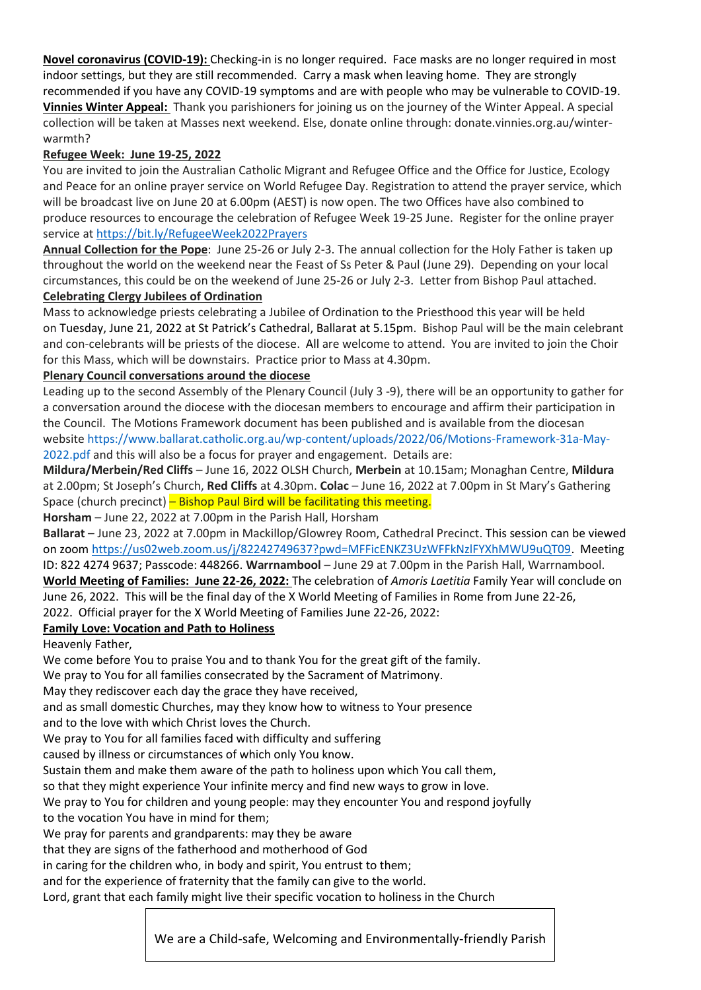**Novel coronavirus (COVID-19):** Checking-in is no longer required. Face masks are no longer required in most indoor settings, but they are still recommended. Carry a mask when leaving home. They are strongly recommended if you have any COVID-19 symptoms and are with people who may be vulnerable to COVID-19. **Vinnies Winter Appeal:** Thank you parishioners for joining us on the journey of the Winter Appeal. A special collection will be taken at Masses next weekend. Else, donate online through: donate.vinnies.org.au/winterwarmth?

# **Refugee Week: June 19-25, 2022**

You are invited to join the Australian Catholic Migrant and Refugee Office and the Office for Justice, Ecology and Peace for an online prayer service on World Refugee Day. Registration to attend the prayer service, which will be broadcast live on June 20 at 6.00pm (AEST) is now open. The two Offices have also combined to produce resources to encourage the celebration of Refugee Week 19-25 June. Register for the online prayer service at <https://bit.ly/RefugeeWeek2022Prayers>

**Annual Collection for the Pope**: June 25-26 or July 2-3. The annual collection for the Holy Father is taken up throughout the world on the weekend near the Feast of Ss Peter & Paul (June 29). Depending on your local circumstances, this could be on the weekend of June 25-26 or July 2-3. Letter from Bishop Paul attached. **Celebrating Clergy Jubilees of Ordination**

Mass to acknowledge priests celebrating a Jubilee of Ordination to the Priesthood this year will be held on Tuesday, June 21, 2022 at St Patrick's Cathedral, Ballarat at 5.15pm. Bishop Paul will be the main celebrant and con-celebrants will be priests of the diocese. All are welcome to attend. You are invited to join the Choir for this Mass, which will be downstairs. Practice prior to Mass at 4.30pm.

# **Plenary Council conversations around the diocese**

Leading up to the second Assembly of the Plenary Council (July 3 -9), there will be an opportunity to gather for a conversation around the diocese with the diocesan members to encourage and affirm their participation in the Council. The Motions Framework document has been published and is available from the diocesan website [https://www.ballarat.catholic.org.au/wp-content/uploads/2022/06/Motions-Framework-31a-May-](https://www.ballarat.catholic.org.au/wp-content/uploads/2022/06/Motions-Framework-31a-May-2022.pdf)[2022.pdf](https://www.ballarat.catholic.org.au/wp-content/uploads/2022/06/Motions-Framework-31a-May-2022.pdf) and this will also be a focus for prayer and engagement. Details are:

**Mildura/Merbein/Red Cliffs** – June 16, 2022 OLSH Church, **Merbein** at 10.15am; Monaghan Centre, **Mildura** at 2.00pm; St Joseph's Church, **Red Cliffs** at 4.30pm. **Colac** – June 16, 2022 at 7.00pm in St Mary's Gathering Space (church precinct) – Bishop Paul Bird will be facilitating this meeting.

**Horsham** – June 22, 2022 at 7.00pm in the Parish Hall, Horsham

**Ballarat** – June 23, 2022 at 7.00pm in Mackillop/Glowrey Room, Cathedral Precinct. This session can be viewed on zoom [https://us02web.zoom.us/j/82242749637?pwd=MFFicENKZ3UzWFFkNzlFYXhMWU9uQT09.](https://us02web.zoom.us/j/82242749637?pwd=MFFicENKZ3UzWFFkNzlFYXhMWU9uQT09) Meeting ID: 822 4274 9637; Passcode: 448266. **Warrnambool** – June 29 at 7.00pm in the Parish Hall, Warrnambool. **World Meeting of Families: June 22-26, 2022:** The celebration of *Amoris Laetitia* Family Year will conclude on June 26, 2022. This will be the final day of the X World Meeting of Families in Rome from June 22-26, 2022. Official prayer for the X World Meeting of Families June 22-26, 2022:

# **Family Love: Vocation and Path to Holiness**

Heavenly Father,

We come before You to praise You and to thank You for the great gift of the family.

We pray to You for all families consecrated by the Sacrament of Matrimony.

May they rediscover each day the grace they have received,

and as small domestic Churches, may they know how to witness to Your presence

and to the love with which Christ loves the Church.

We pray to You for all families faced with difficulty and suffering

caused by illness or circumstances of which only You know.

Sustain them and make them aware of the path to holiness upon which You call them,

so that they might experience Your infinite mercy and find new ways to grow in love.

We pray to You for children and young people: may they encounter You and respond joyfully to the vocation You have in mind for them;

We pray for parents and grandparents: may they be aware

that they are signs of the fatherhood and motherhood of God

in caring for the children who, in body and spirit, You entrust to them;

and for the experience of fraternity that the family can give to the world.

Lord, grant that each family might live their specific vocation to holiness in the Church

We are a Child-safe, Welcoming and Environmentally-friendly Parish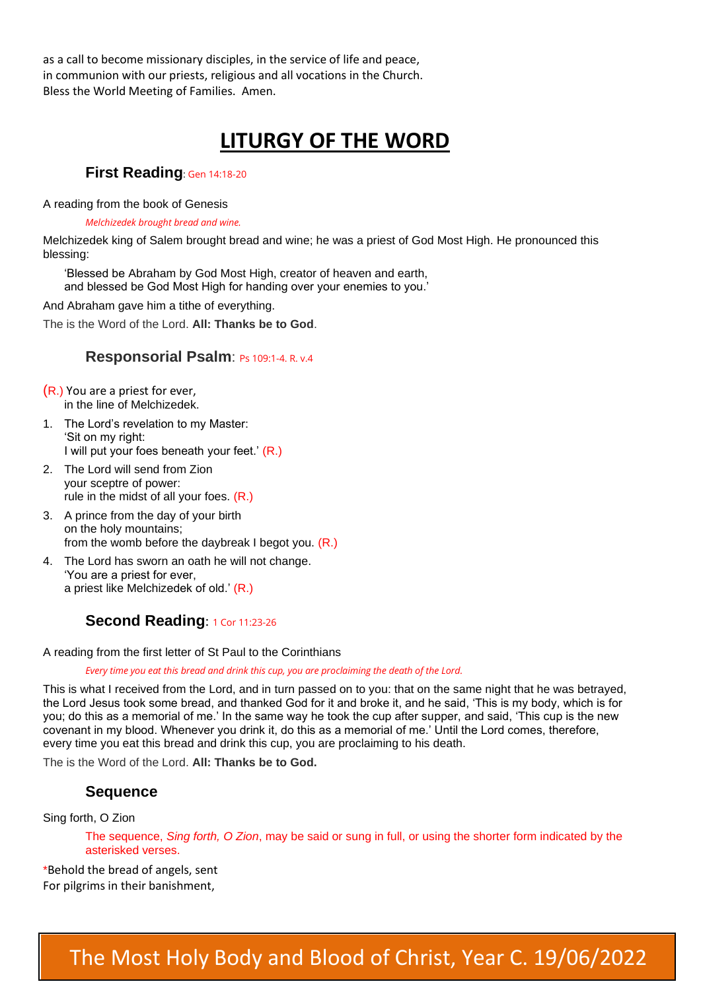as a call to become missionary disciples, in the service of life and peace, in communion with our priests, religious and all vocations in the Church. Bless the World Meeting of Families. Amen.

# **LITURGY OF THE WORD**

# **First Reading**: Gen 14:18-20

A reading from the book of Genesis

#### *Melchizedek brought bread and wine.*

Melchizedek king of Salem brought bread and wine; he was a priest of God Most High. He pronounced this blessing:

'Blessed be Abraham by God Most High, creator of heaven and earth, and blessed be God Most High for handing over your enemies to you.'

And Abraham gave him a tithe of everything.

The is the Word of the Lord. **All: Thanks be to God**.

# **Responsorial Psalm**: Ps 109:1-4. R. v.4

(R.) You are a priest for ever, in the line of Melchizedek.

- 1. The Lord's revelation to my Master: 'Sit on my right: I will put your foes beneath your feet.' (R.)
- 2. The Lord will send from Zion your sceptre of power: rule in the midst of all your foes. (R.)
- 3. A prince from the day of your birth on the holy mountains; from the womb before the daybreak I begot you.  $(R.)$
- 4. The Lord has sworn an oath he will not change. 'You are a priest for ever, a priest like Melchizedek of old.' (R.)

# **Second Reading: 1 Cor 11:23-26**

A reading from the first letter of St Paul to the Corinthians

*Every time you eat this bread and drink this cup, you are proclaiming the death of the Lord.*

This is what I received from the Lord, and in turn passed on to you: that on the same night that he was betrayed, the Lord Jesus took some bread, and thanked God for it and broke it, and he said, 'This is my body, which is for you; do this as a memorial of me.' In the same way he took the cup after supper, and said, 'This cup is the new covenant in my blood. Whenever you drink it, do this as a memorial of me.' Until the Lord comes, therefore, every time you eat this bread and drink this cup, you are proclaiming to his death.

The is the Word of the Lord. **All: Thanks be to God.**

# **Sequence**

Sing forth, O Zion

The sequence, *Sing forth, O Zion*, may be said or sung in full, or using the shorter form indicated by the asterisked verses.

\*Behold the bread of angels, sent For pilgrims in their banishment,

# The Most Holy Body and Blood of Christ, Year C. 19/06/2022